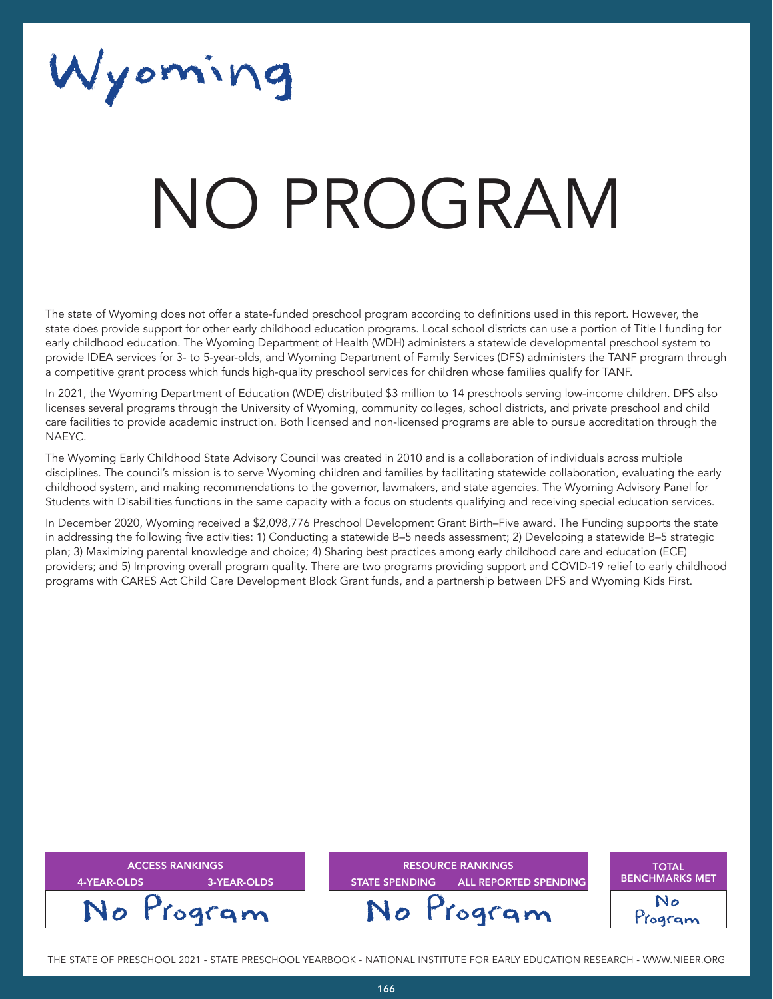Wyoming

# NATA T NO PROGRAM

The state of Wyoming does not offer a state-funded preschool program according to definitions used in this report. However, the state does provide support for other early childhood education programs. Local school districts can use a portion of Title I funding for early childhood education. The Wyoming Department of Health (WDH) administers a statewide developmental preschool system to provide IDEA services for 3- to 5-year-olds, and Wyoming Department of Family Services (DFS) administers the TANF program through a competitive grant process which funds high-quality preschool services for children whose families qualify for TANF.

In 2021, the Wyoming Department of Education (WDE) distributed \$3 million to 14 preschools serving low-income children. DFS also licenses several programs through the University of Wyoming, community colleges, school districts, and private preschool and child care facilities to provide academic instruction. Both licensed and non-licensed programs are able to pursue accreditation through the NAEYC.

The Wyoming Early Childhood State Advisory Council was created in 2010 and is a collaboration of individuals across multiple disciplines. The council's mission is to serve Wyoming children and families by facilitating statewide collaboration, evaluating the early childhood system, and making recommendations to the governor, lawmakers, and state agencies. The Wyoming Advisory Panel for Students with Disabilities functions in the same capacity with a focus on students qualifying and receiving special education services.

In December 2020, Wyoming received a \$2,098,776 Preschool Development Grant Birth–Five award. The Funding supports the state in addressing the following five activities: 1) Conducting a statewide B–5 needs assessment; 2) Developing a statewide B–5 strategic plan; 3) Maximizing parental knowledge and choice; 4) Sharing best practices among early childhood care and education (ECE) providers; and 5) Improving overall program quality. There are two programs providing support and COVID-19 relief to early childhood programs with CARES Act Child Care Development Block Grant funds, and a partnership between DFS and Wyoming Kids First.

| <b>ACCESS RANKINGS</b><br>3-YEAR-OLDS<br>4-YEAR-OLDS | <b>RESOURCE RANKINGS</b><br><b>ALL REPORTED SPENDING</b><br><b>STATE SPENDING</b> | <b>TOTAL</b><br><b>BENCHMARKS MET</b> |
|------------------------------------------------------|-----------------------------------------------------------------------------------|---------------------------------------|
| No Program                                           | No Program                                                                        | ogram                                 |

THE STATE OF PRESCHOOL 2021 - STATE PRESCHOOL YEARBOOK - NATIONAL INSTITUTE FOR EARLY EDUCATION RESEARCH - WWW.NIEER.ORG